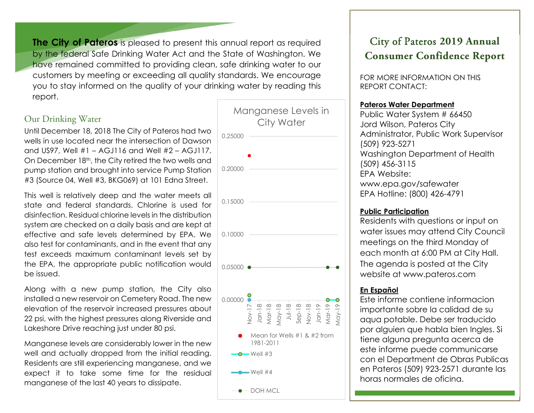**The City of Pateros** is pleased to present this annual report as required by the federal Safe Drinking Water Act and the State of Washington. We have remained committed to providing clean, safe drinking water to our customers by meeting or exceeding all quality standards. We encourage you to stay informed on the quality of your drinking water by reading this report.

## Our Drinking Water

Until December 18, 2018 The City of Pateros had two wells in use located near the intersection of Dawson and US97, Well #1 – AGJ116 and Well #2 – AGJ117. On December 18th, the City retired the two wells and pump station and brought into service Pump Station #3 (Source 04, Well #3, BKG069) at 101 Edna Street.

This well is relatively deep and the water meets all state and federal standards. Chlorine is used for disinfection. Residual chlorine levels in the distribution system are checked on a daily basis and are kept at effective and safe levels determined by EPA. We also test for contaminants, and in the event that any test exceeds maximum contaminant levels set by the EPA, the appropriate public notification would be issued.

Along with a new pump station, the City also installed a new reservoir on Cemetery Road. The new elevation of the reservoir increased pressures about 22 psi, with the highest pressures along Riverside and Lakeshore Drive reaching just under 80 psi.

Manganese levels are considerably lower in the new well and actually dropped from the initial reading. Residents are still experiencing manganese, and we expect it to take some time for the residual manganese of the last 40 years to dissipate.



# City of Pateros **2019 Annual Consumer Confidence Report**

FOR MORE INFORMATION ON THIS REPORT CONTACT:

#### **Pateros Water Department**

Public Water System # 66450 Jord Wilson, Pateros City Administrator, Public Work Supervisor (509) 923-5271 Washington Department of Health (509) 456-3115 EPA Website: www.epa.gov/safewater EPA Hotline: (800) 426-4791

#### **Public Participation**

Residents with questions or input on water issues may attend City Council meetings on the third Monday of each month at 6:00 PM at City Hall. The agenda is posted at the City website at www.pateros.com

## **En Español**

Este informe contiene informacion importante sobre la calidad de su aqua potable. Debe ser traducido por alguien que habla bien Ingles. Si tiene alguna pregunta acerca de este informe puede communicarse con el Department de Obras Publicas en Pateros (509) 923-2571 durante las horas normales de oficina.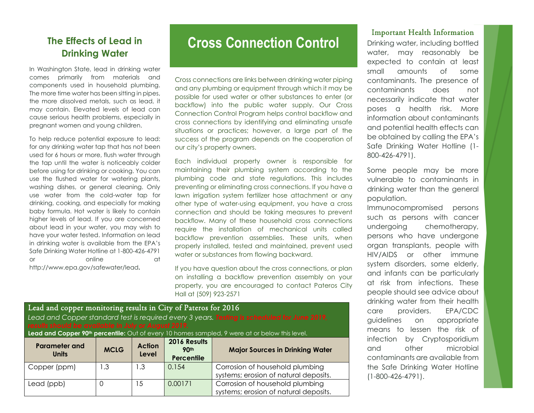# **The Effects of Lead in Drinking Water**

In Washington State, lead in drinking water comes primarily from materials and components used in household plumbing. The more time water has been sitting in pipes, the more dissolved metals, such as lead, it may contain. Elevated levels of lead can cause serious health problems, especially in pregnant women and young children.

To help reduce potential exposure to lead: for any drinking water tap that has not been used for 6 hours or more, flush water through the tap until the water is noticeably colder before using for drinking or cooking. You can use the flushed water for watering plants, washing dishes, or general cleaning. Only use water from the cold-water tap for drinking, cooking, and especially for making baby formula. Hot water is likely to contain higher levels of lead. If you are concerned about lead in your water, you may wish to have your water tested. Information on lead in drinking water is available from the EPA's Safe Drinking Water Hotline at 1-800-426-4791 or online at a contract of the contract of the contract of the contract of the contract of the contract of the contract of the contract of the contract of the contract of the contract of the contract of the contract of the http://www.epa.gov/safewater/lead**.**

# **Cross Connection Control**

Cross connections are links between drinking water piping and any plumbing or equipment through which it may be possible for used water or other substances to enter (or backflow) into the public water supply. Our Cross Connection Control Program helps control backflow and cross connections by identifying and eliminating unsafe situations or practices; however, a large part of the success of the program depends on the cooperation of our city's property owners.

Each individual property owner is responsible for maintaining their plumbing system according to the plumbing code and state regulations. This includes preventing or eliminating cross connections. If you have a lawn irrigation system fertilizer hose attachment or any other type of water-using equipment, you have a cross connection and should be taking measures to prevent backflow. Many of these household cross connections require the installation of mechanical units called backflow prevention assemblies. These units, when properly installed, tested and maintained, prevent used water or substances from flowing backward.

If you have question about the cross connections, or plan on installing a backflow prevention assembly on your property, you are encouraged to contact Pateros City Hall at (509) 923-2571

| Lead and copper monitoring results in City of Pateros for 2016<br>Lead and Copper standard test is required every 3 years. Testing is scheduled for June 2019,<br>results should be available in July or August 2019.<br>Lead and Copper 90 <sup>th</sup> percentile: Out of every 10 homes sampled, 9 were at or below this level. |             |                        |                                           |                                                                          |  |  |  |
|-------------------------------------------------------------------------------------------------------------------------------------------------------------------------------------------------------------------------------------------------------------------------------------------------------------------------------------|-------------|------------------------|-------------------------------------------|--------------------------------------------------------------------------|--|--|--|
| <b>Parameter and</b><br><b>Units</b>                                                                                                                                                                                                                                                                                                | <b>MCLG</b> | <b>Action</b><br>Level | 2016 Results<br>90th<br><b>Percentile</b> | <b>Major Sources in Drinking Water</b>                                   |  |  |  |
| Copper (ppm)                                                                                                                                                                                                                                                                                                                        | I .3        | $\cdot$ .3             | 0.154                                     | Corrosion of household plumbing<br>systems; erosion of natural deposits. |  |  |  |
| Lead (ppb)                                                                                                                                                                                                                                                                                                                          | 0           | -5                     | 0.00171                                   | Corrosion of household plumbing<br>systems; erosion of natural deposits. |  |  |  |

#### Important Health Information

Drinking water, including bottled water, may reasonably be expected to contain at least small amounts of some contaminants. The presence of contaminants does not necessarily indicate that water poses a health risk. More information about contaminants and potential health effects can be obtained by calling the EPA's Safe Drinking Water Hotline (1- 800-426-4791).

Some people may be more vulnerable to contaminants in drinking water than the general population.

Immunocompromised persons such as persons with cancer undergoing chemotherapy, persons who have undergone organ transplants, people with HIV/AIDS or other immune system disorders, some elderly, and infants can be particularly at risk from infections. These people should see advice about drinking water from their health care providers. EPA/CDC guidelines on appropriate means to lessen the risk of infection by Cryptosporidium and other microbial contaminants are available from the Safe Drinking Water Hotline (1-800-426-4791).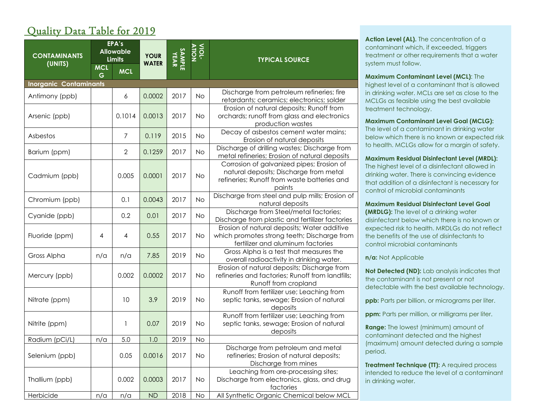# Quality Data Table for 2019

| <b>CONTAMINANTS</b><br>(UNITS) | <b>MCL</b><br>G | EPA's<br><b>Allowable</b><br><b>Limits</b><br><b>MCL</b> | <b>YOUR</b><br><b>WATER</b> | <b>SAMPLE</b><br>YEAR | <b>VIOL-</b> | <b>TYPICAL SOURCE</b>                                                                                                                        |
|--------------------------------|-----------------|----------------------------------------------------------|-----------------------------|-----------------------|--------------|----------------------------------------------------------------------------------------------------------------------------------------------|
| <b>Inorganic Contaminants</b>  |                 |                                                          |                             |                       |              |                                                                                                                                              |
| Antimony (ppb)                 |                 | 6                                                        | 0.0002                      | 2017                  | <b>No</b>    | Discharge from petroleum refineries; fire<br>retardants; ceramics; electronics; solder                                                       |
| Arsenic (ppb)                  |                 | 0.1014                                                   | 0.0013                      | 2017                  | <b>No</b>    | Erosion of natural deposits; Runoff from<br>orchards; runoff from glass and electronics<br>production wastes                                 |
| Asbestos                       |                 | 7                                                        | 0.119                       | 2015                  | <b>No</b>    | Decay of asbestos cement water mains;<br>Erosion of natural deposits                                                                         |
| Barium (ppm)                   |                 | $\mathbf{2}$                                             | 0.1259                      | 2017                  | <b>No</b>    | Discharge of drilling wastes; Discharge from<br>metal refineries; Erosion of natural deposits                                                |
| Cadmium (ppb)                  |                 | 0.005                                                    | 0.0001                      | 2017                  | <b>No</b>    | Corrosion of galvanized pipes; Erosion of<br>natural deposits; Discharge from metal<br>refineries; Runoff from waste batteries and<br>paints |
| Chromium (ppb)                 |                 | 0.1                                                      | 0.0043                      | 2017                  | <b>No</b>    | Discharge from steel and pulp mills; Erosion of<br>natural deposits                                                                          |
| Cyanide (ppb)                  |                 | 0.2                                                      | 0.01                        | 2017                  | <b>No</b>    | Discharge from Steel/metal factories;<br>Discharge from plastic and fertilizer factories                                                     |
| Fluoride (ppm)                 | 4               | $\overline{4}$                                           | 0.55                        | 2017                  | <b>No</b>    | Erosion of natural deposits; Water additive<br>which promotes strong teeth; Discharge from<br>fertilizer and aluminum factories              |
| Gross Alpha                    | n/a             | n/a                                                      | 7.85                        | 2019                  | <b>No</b>    | Gross Alpha is a test that measures the<br>overall radioactivity in drinking water.                                                          |
| Mercury (ppb)                  |                 | 0.002                                                    | 0.0002                      | 2017                  | <b>No</b>    | Erosion of natural deposits; Discharge from<br>refineries and factories; Runoff from landfills;<br>Runoff from cropland                      |
| Nitrate (ppm)                  |                 | 10                                                       | 3.9                         | 2019                  | <b>No</b>    | Runoff from fertilizer use; Leaching from<br>septic tanks, sewage; Erosion of natural<br>deposits                                            |
| Nitrite (ppm)                  |                 | 1                                                        | 0.07                        | 2019                  | <b>No</b>    | Runoff from fertilizer use; Leaching from<br>septic tanks, sewage; Erosion of natural<br>deposits                                            |
| Radium (pCi/L)                 | n/a             | 5.0                                                      | 1.0                         | 2019                  | <b>No</b>    |                                                                                                                                              |
| Selenium (ppb)                 |                 | 0.05                                                     | 0.0016                      | 2017                  | <b>No</b>    | Discharge from petroleum and metal<br>refineries; Erosion of natural deposits;<br>Discharge from mines                                       |
| Thallium (ppb)                 |                 | 0.002                                                    | 0.0003                      | 2017                  | No           | Leaching from ore-processing sites;<br>Discharge from electronics, glass, and drug<br>factories                                              |
| Herbicide                      | n/a             | n/a                                                      | ND                          | 2018                  | No           | All Synthetic Organic Chemical below MCL                                                                                                     |

Action Level (AL). The concentration of a contaminant which, if exceeded, triggers treatment or other requirements that a water system must follow.

**Maximum Contaminant Level (MCL)**: The highest level of a contaminant that is allowed in drinking water. MCLs are set as close to the MCLGs as feasible using the best available treatment technology.

**Maximum Contaminant Level Goal (MCLG):**  The level of a contaminant in drinking water below which there is no known or expected risk to health. MCLGs allow for a margin of safety.

#### **Maximum Residual Disinfectant Level (MRDL):**

The highest level of a disinfectant allowed in drinking water. There is convincing evidence that addition of a disinfectant is necessary for control of microbial contaminants

**Maximum Residual Disinfectant Level Goal (MRDLG):** The level of a drinking water disinfectant below which there is no known or expected risk to health. MRDLGs do not reflect the benefits of the use of disinfectants to control microbial contaminants

**n/a:** Not Applicable

**Not Detected (ND):** Lab analysis indicates that the contaminant is not present or not detectable with the best available technology.

**ppb:** Parts per billion, or micrograms per liter.

**ppm:** Parts per million, or milligrams per liter.

**Range:** The lowest (minimum) amount of contaminant detected and the highest (maximum) amount detected during a sample period.

**Treatment Technique (TT):** A required process intended to reduce the level of a contaminant in drinking water.